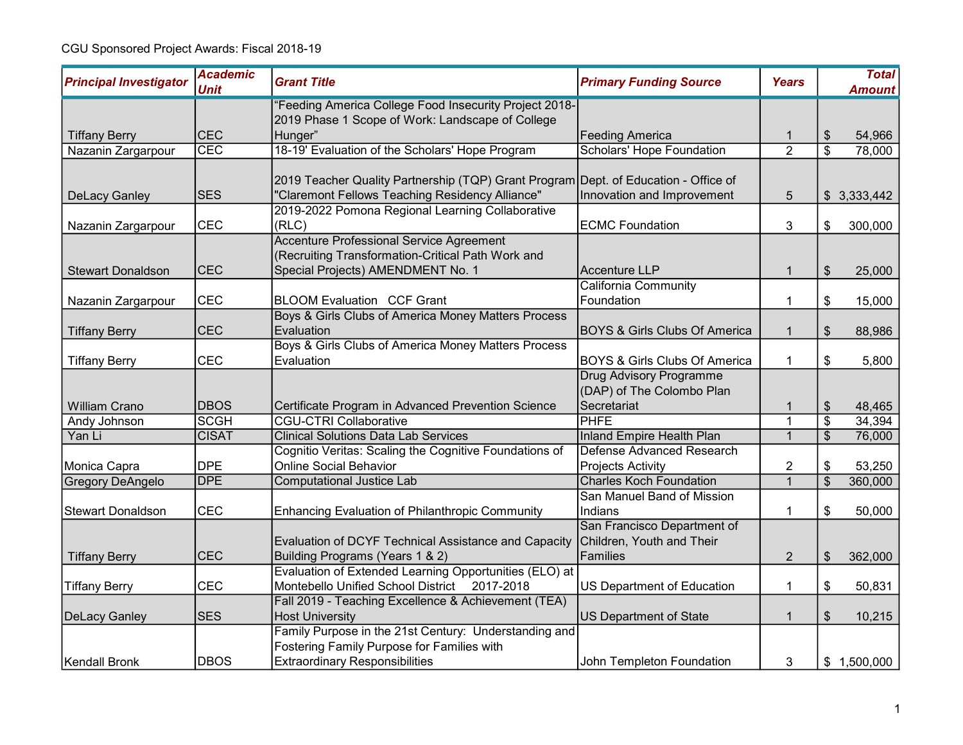| <b>Principal Investigator</b> | <b>Academic</b><br><b>Unit</b> | <b>Grant Title</b>                                                                                         | <b>Primary Funding Source</b>            | <b>Years</b>   |                         | <b>Total</b><br><b>Amount</b> |
|-------------------------------|--------------------------------|------------------------------------------------------------------------------------------------------------|------------------------------------------|----------------|-------------------------|-------------------------------|
|                               |                                | 'Feeding America College Food Insecurity Project 2018-<br>2019 Phase 1 Scope of Work: Landscape of College |                                          |                |                         |                               |
| <b>Tiffany Berry</b>          | <b>CEC</b>                     | Hunger"                                                                                                    | Feeding America                          |                | \$                      | 54,966                        |
| Nazanin Zargarpour            | CEC                            | 18-19' Evaluation of the Scholars' Hope Program                                                            | <b>Scholars' Hope Foundation</b>         | $\overline{2}$ | $\overline{\mathbb{S}}$ | 78,000                        |
|                               |                                |                                                                                                            |                                          |                |                         |                               |
|                               |                                | 2019 Teacher Quality Partnership (TQP) Grant Program Dept. of Education - Office of                        |                                          |                |                         |                               |
| <b>DeLacy Ganley</b>          | <b>SES</b>                     | 'Claremont Fellows Teaching Residency Alliance"                                                            | Innovation and Improvement               | 5              |                         | \$3,333,442                   |
|                               |                                | 2019-2022 Pomona Regional Learning Collaborative                                                           |                                          |                |                         |                               |
| Nazanin Zargarpour            | <b>CEC</b>                     | (RLC)                                                                                                      | <b>ECMC Foundation</b>                   | 3              | \$                      | 300,000                       |
|                               |                                | Accenture Professional Service Agreement                                                                   |                                          |                |                         |                               |
|                               |                                | (Recruiting Transformation-Critical Path Work and                                                          |                                          |                |                         |                               |
| <b>Stewart Donaldson</b>      | <b>CEC</b>                     | Special Projects) AMENDMENT No. 1                                                                          | Accenture LLP                            | $\mathbf 1$    | \$                      | 25,000                        |
|                               |                                |                                                                                                            | <b>California Community</b>              |                |                         |                               |
| Nazanin Zargarpour            | CEC                            | <b>BLOOM Evaluation CCF Grant</b>                                                                          | Foundation                               | 1              | \$                      | 15,000                        |
|                               |                                | Boys & Girls Clubs of America Money Matters Process                                                        |                                          |                |                         |                               |
| <b>Tiffany Berry</b>          | <b>CEC</b>                     | Evaluation                                                                                                 | <b>BOYS &amp; Girls Clubs Of America</b> | $\mathbf{1}$   | \$                      | 88,986                        |
|                               |                                | Boys & Girls Clubs of America Money Matters Process                                                        |                                          |                |                         |                               |
| <b>Tiffany Berry</b>          | <b>CEC</b>                     | Evaluation                                                                                                 | <b>BOYS &amp; Girls Clubs Of America</b> | $\mathbf{1}$   | \$                      | 5,800                         |
|                               |                                |                                                                                                            | <b>Drug Advisory Programme</b>           |                |                         |                               |
|                               |                                |                                                                                                            | (DAP) of The Colombo Plan                |                |                         |                               |
| <b>William Crano</b>          | <b>DBOS</b>                    | Certificate Program in Advanced Prevention Science                                                         | Secretariat                              | 1              | \$                      | 48,465                        |
| Andy Johnson                  | <b>SCGH</b>                    | <b>CGU-CTRI Collaborative</b>                                                                              | PHFE                                     | 1              | \$                      | 34,394                        |
| Yan Li                        | <b>CISAT</b>                   | <b>Clinical Solutions Data Lab Services</b>                                                                | <b>Inland Empire Health Plan</b>         | $\mathbf{1}$   | $\overline{\$}$         | 76,000                        |
|                               |                                | Cognitio Veritas: Scaling the Cognitive Foundations of                                                     | Defense Advanced Research                |                |                         |                               |
| Monica Capra                  | <b>DPE</b>                     | <b>Online Social Behavior</b>                                                                              | Projects Activity                        | 2              | \$                      | 53,250                        |
| Gregory DeAngelo              | <b>DPE</b>                     | <b>Computational Justice Lab</b>                                                                           | <b>Charles Koch Foundation</b>           | $\mathbf{1}$   | $\overline{\$}$         | 360,000                       |
|                               |                                |                                                                                                            | San Manuel Band of Mission               |                |                         |                               |
| <b>Stewart Donaldson</b>      | <b>CEC</b>                     | <b>Enhancing Evaluation of Philanthropic Community</b>                                                     | Indians                                  | 1              | \$                      | 50,000                        |
|                               |                                |                                                                                                            | San Francisco Department of              |                |                         |                               |
|                               |                                | Evaluation of DCYF Technical Assistance and Capacity                                                       | Children, Youth and Their                |                |                         |                               |
| <b>Tiffany Berry</b>          | <b>CEC</b>                     | Building Programs (Years 1 & 2)                                                                            | Families                                 | $\overline{2}$ | \$                      | 362,000                       |
|                               |                                | Evaluation of Extended Learning Opportunities (ELO) at                                                     |                                          |                |                         |                               |
| <b>Tiffany Berry</b>          | <b>CEC</b>                     | Montebello Unified School District 2017-2018                                                               | US Department of Education               | 1              | \$                      | 50,831                        |
|                               |                                | Fall 2019 - Teaching Excellence & Achievement (TEA)                                                        |                                          |                |                         |                               |
| DeLacy Ganley                 | <b>SES</b>                     | <b>Host University</b>                                                                                     | <b>US Department of State</b>            | 1              | \$                      | 10,215                        |
|                               |                                | Family Purpose in the 21st Century: Understanding and                                                      |                                          |                |                         |                               |
|                               |                                | Fostering Family Purpose for Families with                                                                 |                                          |                |                         |                               |
| Kendall Bronk                 | <b>DBOS</b>                    | <b>Extraordinary Responsibilities</b>                                                                      | John Templeton Foundation                | 3              |                         | \$1,500,000                   |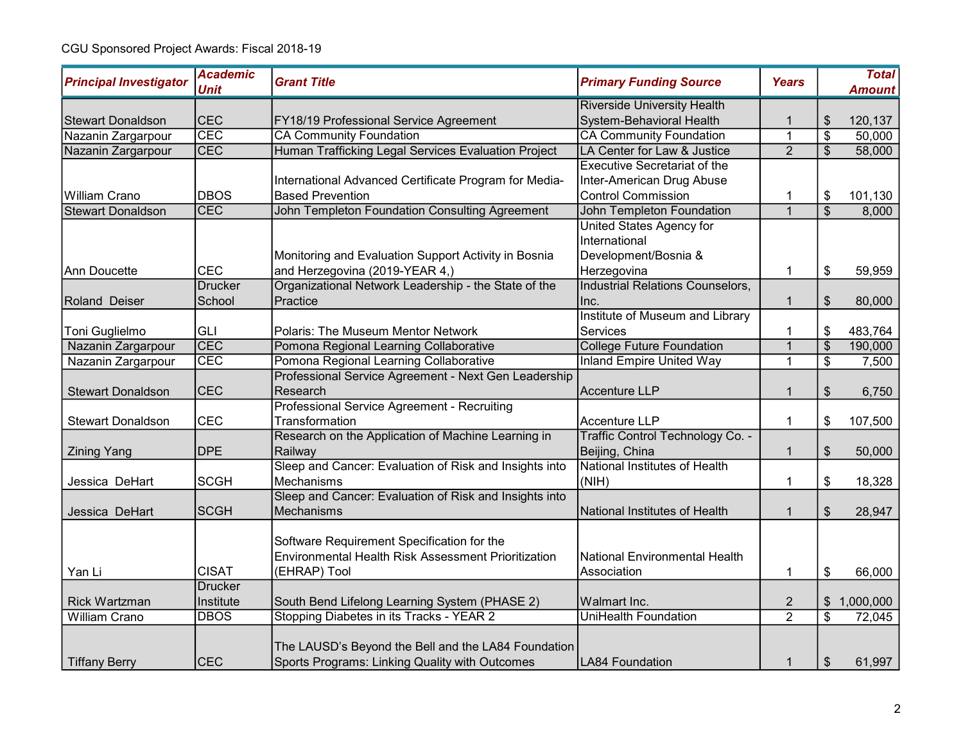| <b>Principal Investigator</b> | <b>Academic</b><br><b>Unit</b> | <b>Grant Title</b>                                                                                                | <b>Primary Funding Source</b>                | <b>Years</b>   |                          | <b>Total</b><br><b>Amount</b> |
|-------------------------------|--------------------------------|-------------------------------------------------------------------------------------------------------------------|----------------------------------------------|----------------|--------------------------|-------------------------------|
|                               |                                |                                                                                                                   | <b>Riverside University Health</b>           |                |                          |                               |
| <b>Stewart Donaldson</b>      | <b>CEC</b>                     | FY18/19 Professional Service Agreement                                                                            | System-Behavioral Health                     |                | \$                       | 120,137                       |
| Nazanin Zargarpour            | CEC                            | <b>CA Community Foundation</b>                                                                                    | <b>CA Community Foundation</b>               | $\mathbf 1$    | $\overline{\mathcal{S}}$ | 50,000                        |
| Nazanin Zargarpour            | CEC                            | Human Trafficking Legal Services Evaluation Project                                                               | LA Center for Law & Justice                  | $\overline{2}$ | $\overline{\mathcal{S}}$ | 58,000                        |
|                               |                                |                                                                                                                   | <b>Executive Secretariat of the</b>          |                |                          |                               |
|                               |                                | International Advanced Certificate Program for Media-                                                             | Inter-American Drug Abuse                    |                |                          |                               |
| William Crano                 | <b>DBOS</b>                    | <b>Based Prevention</b>                                                                                           | <b>Control Commission</b>                    |                | \$                       | 101,130                       |
| <b>Stewart Donaldson</b>      | CEC                            | John Templeton Foundation Consulting Agreement                                                                    | <b>John Templeton Foundation</b>             | $\mathbf{1}$   | $\overline{\mathcal{S}}$ | 8,000                         |
|                               |                                |                                                                                                                   | United States Agency for                     |                |                          |                               |
|                               |                                |                                                                                                                   | International                                |                |                          |                               |
|                               |                                | Monitoring and Evaluation Support Activity in Bosnia                                                              | Development/Bosnia &                         |                |                          |                               |
| Ann Doucette                  | CEC                            | and Herzegovina (2019-YEAR 4,)                                                                                    | Herzegovina                                  | 1              | \$                       | 59,959                        |
|                               | <b>Drucker</b>                 | Organizational Network Leadership - the State of the                                                              | Industrial Relations Counselors,             |                |                          |                               |
| Roland Deiser                 | School                         | Practice                                                                                                          | Inc.                                         | $\mathbf 1$    | \$                       | 80,000                        |
|                               |                                |                                                                                                                   | Institute of Museum and Library              |                |                          |                               |
| Toni Guglielmo                | <b>GLI</b>                     | Polaris: The Museum Mentor Network                                                                                | Services                                     |                | \$                       | 483,764                       |
| Nazanin Zargarpour            | CEC                            | Pomona Regional Learning Collaborative                                                                            | <b>College Future Foundation</b>             | $\overline{1}$ | $\overline{\$}$          | 190,000                       |
| Nazanin Zargarpour            | <b>CEC</b>                     | Pomona Regional Learning Collaborative                                                                            | <b>Inland Empire United Way</b>              | $\mathbf 1$    | \$                       | 7,500                         |
|                               |                                | Professional Service Agreement - Next Gen Leadership                                                              |                                              |                |                          |                               |
| <b>Stewart Donaldson</b>      | <b>CEC</b>                     | Research                                                                                                          | Accenture LLP                                | $\mathbf 1$    | $\frac{1}{2}$            | 6,750                         |
|                               |                                | Professional Service Agreement - Recruiting                                                                       |                                              |                |                          |                               |
| <b>Stewart Donaldson</b>      | <b>CEC</b>                     | Transformation                                                                                                    | Accenture LLP                                | 1              | \$                       | 107,500                       |
|                               |                                | Research on the Application of Machine Learning in                                                                | Traffic Control Technology Co. -             |                |                          |                               |
| <b>Zining Yang</b>            | <b>DPE</b>                     | Railway                                                                                                           | Beijing, China                               | 1              | $\frac{1}{2}$            | 50,000                        |
|                               |                                | Sleep and Cancer: Evaluation of Risk and Insights into                                                            | National Institutes of Health                |                |                          |                               |
| Jessica DeHart                | <b>SCGH</b>                    | Mechanisms                                                                                                        | (NIH)                                        | 1              | \$                       | 18,328                        |
|                               |                                | Sleep and Cancer: Evaluation of Risk and Insights into                                                            |                                              |                |                          |                               |
| Jessica DeHart                | <b>SCGH</b>                    | Mechanisms                                                                                                        | National Institutes of Health                | 1              | \$                       | 28,947                        |
| Yan Li                        | <b>CISAT</b>                   | Software Requirement Specification for the<br>Environmental Health Risk Assessment Prioritization<br>(EHRAP) Tool | National Environmental Health<br>Association | 1              | \$                       | 66,000                        |
|                               | <b>Drucker</b>                 |                                                                                                                   |                                              |                |                          |                               |
| <b>Rick Wartzman</b>          | Institute                      | South Bend Lifelong Learning System (PHASE 2)                                                                     | Walmart Inc.                                 | $\overline{2}$ | $\frac{1}{2}$            | 1,000,000                     |
| <b>William Crano</b>          | <b>DBOS</b>                    | Stopping Diabetes in its Tracks - YEAR 2                                                                          | <b>UniHealth Foundation</b>                  | $\overline{2}$ | $\overline{\mathcal{S}}$ | 72,045                        |
| <b>Tiffany Berry</b>          | <b>CEC</b>                     | The LAUSD's Beyond the Bell and the LA84 Foundation<br>Sports Programs: Linking Quality with Outcomes             | <b>LA84 Foundation</b>                       | $\mathbf 1$    | $\frac{1}{2}$            | 61,997                        |